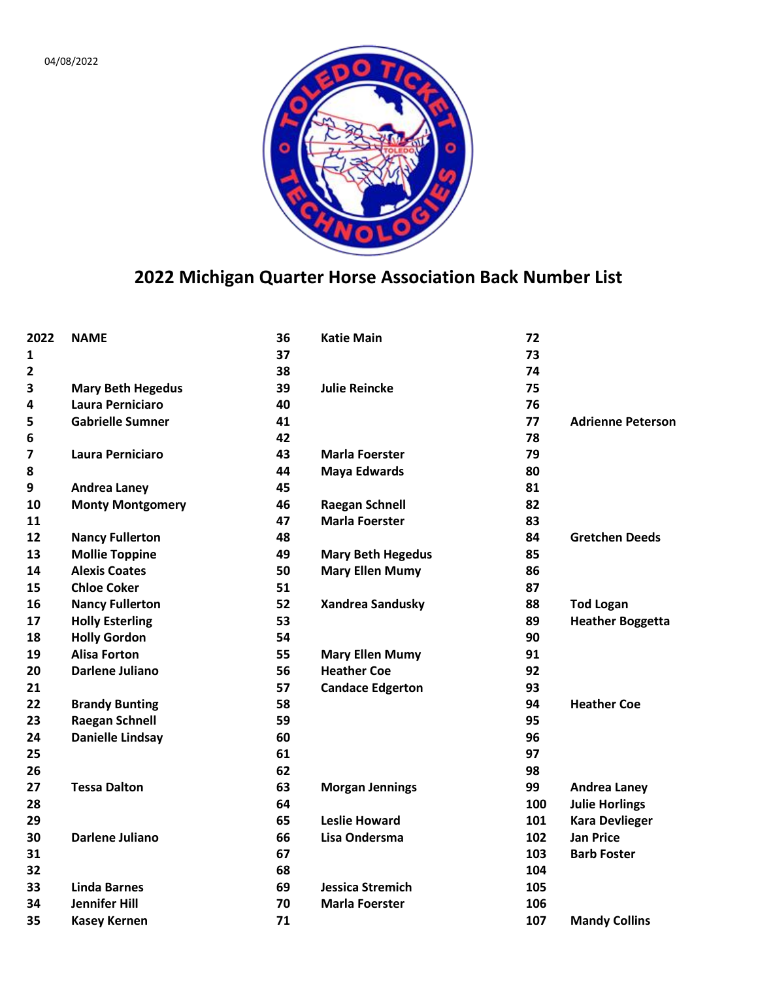

## **Michigan Quarter Horse Association Back Number List**

| 2022                    | <b>NAME</b>              | 36 | <b>Katie Main</b>        | 72  |                          |
|-------------------------|--------------------------|----|--------------------------|-----|--------------------------|
| 1                       |                          | 37 |                          | 73  |                          |
| 2                       |                          | 38 |                          | 74  |                          |
| 3                       | <b>Mary Beth Hegedus</b> | 39 | <b>Julie Reincke</b>     | 75  |                          |
| 4                       | <b>Laura Perniciaro</b>  | 40 |                          | 76  |                          |
| 5                       | <b>Gabrielle Sumner</b>  | 41 |                          | 77  | <b>Adrienne Peterson</b> |
| 6                       |                          | 42 |                          | 78  |                          |
| $\overline{\mathbf{z}}$ | Laura Perniciaro         | 43 | <b>Marla Foerster</b>    | 79  |                          |
| 8                       |                          | 44 | <b>Maya Edwards</b>      | 80  |                          |
| 9                       | <b>Andrea Laney</b>      | 45 |                          | 81  |                          |
| 10                      | <b>Monty Montgomery</b>  | 46 | <b>Raegan Schnell</b>    | 82  |                          |
| 11                      |                          | 47 | <b>Marla Foerster</b>    | 83  |                          |
| 12                      | <b>Nancy Fullerton</b>   | 48 |                          | 84  | <b>Gretchen Deeds</b>    |
| 13                      | <b>Mollie Toppine</b>    | 49 | <b>Mary Beth Hegedus</b> | 85  |                          |
| 14                      | <b>Alexis Coates</b>     | 50 | <b>Mary Ellen Mumy</b>   | 86  |                          |
| 15                      | <b>Chloe Coker</b>       | 51 |                          | 87  |                          |
| 16                      | <b>Nancy Fullerton</b>   | 52 | <b>Xandrea Sandusky</b>  | 88  | <b>Tod Logan</b>         |
| 17                      | <b>Holly Esterling</b>   | 53 |                          | 89  | <b>Heather Boggetta</b>  |
| 18                      | <b>Holly Gordon</b>      | 54 |                          | 90  |                          |
| 19                      | <b>Alisa Forton</b>      | 55 | <b>Mary Ellen Mumy</b>   | 91  |                          |
| 20                      | Darlene Juliano          | 56 | <b>Heather Coe</b>       | 92  |                          |
| 21                      |                          | 57 | <b>Candace Edgerton</b>  | 93  |                          |
| 22                      | <b>Brandy Bunting</b>    | 58 |                          | 94  | <b>Heather Coe</b>       |
| 23                      | <b>Raegan Schnell</b>    | 59 |                          | 95  |                          |
| 24                      | <b>Danielle Lindsay</b>  | 60 |                          | 96  |                          |
| 25                      |                          | 61 |                          | 97  |                          |
| 26                      |                          | 62 |                          | 98  |                          |
| 27                      | <b>Tessa Dalton</b>      | 63 | <b>Morgan Jennings</b>   | 99  | <b>Andrea Laney</b>      |
| 28                      |                          | 64 |                          | 100 | <b>Julie Horlings</b>    |
| 29                      |                          | 65 | <b>Leslie Howard</b>     | 101 | <b>Kara Devlieger</b>    |
| 30                      | <b>Darlene Juliano</b>   | 66 | Lisa Ondersma            | 102 | <b>Jan Price</b>         |
| 31                      |                          | 67 |                          | 103 | <b>Barb Foster</b>       |
| 32                      |                          | 68 |                          | 104 |                          |
| 33                      | <b>Linda Barnes</b>      | 69 | <b>Jessica Stremich</b>  | 105 |                          |
| 34                      | <b>Jennifer Hill</b>     | 70 | <b>Marla Foerster</b>    | 106 |                          |
| 35                      | <b>Kasey Kernen</b>      | 71 |                          | 107 | <b>Mandy Collins</b>     |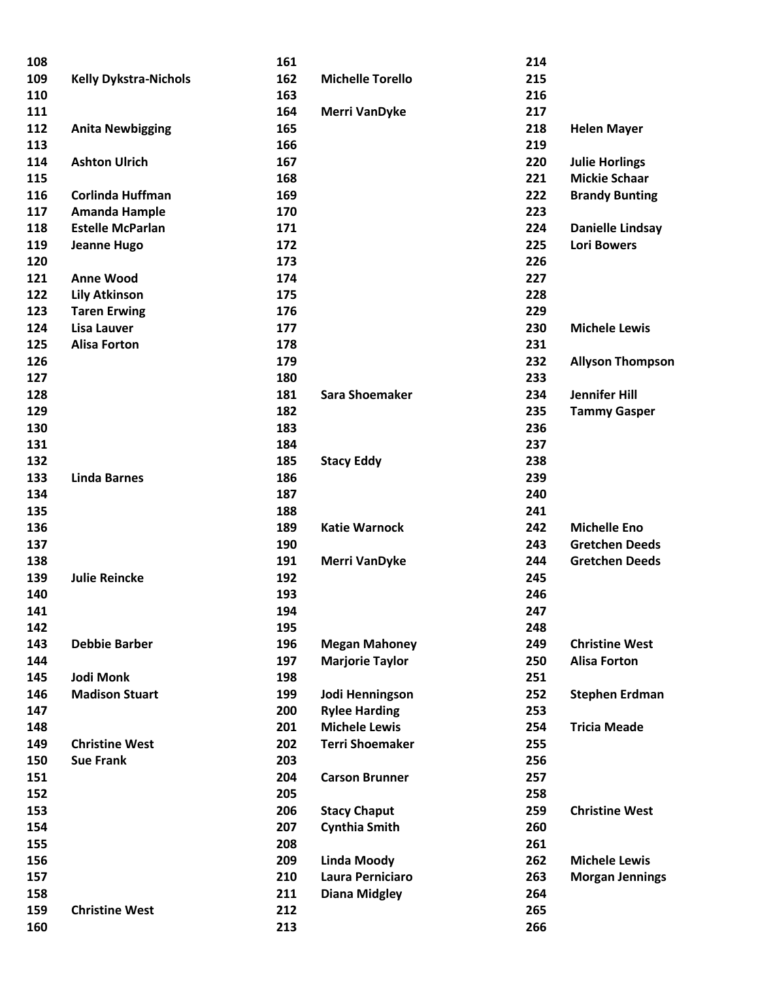| 108 |                              | 161 |                         | 214 |                         |
|-----|------------------------------|-----|-------------------------|-----|-------------------------|
| 109 | <b>Kelly Dykstra-Nichols</b> | 162 | <b>Michelle Torello</b> | 215 |                         |
| 110 |                              | 163 |                         | 216 |                         |
| 111 |                              | 164 | <b>Merri VanDyke</b>    | 217 |                         |
| 112 | <b>Anita Newbigging</b>      | 165 |                         | 218 | <b>Helen Mayer</b>      |
| 113 |                              | 166 |                         | 219 |                         |
| 114 | <b>Ashton Ulrich</b>         | 167 |                         | 220 | <b>Julie Horlings</b>   |
| 115 |                              | 168 |                         | 221 | <b>Mickie Schaar</b>    |
| 116 | Corlinda Huffman             | 169 |                         | 222 | <b>Brandy Bunting</b>   |
| 117 | <b>Amanda Hample</b>         | 170 |                         | 223 |                         |
| 118 | <b>Estelle McParlan</b>      | 171 |                         | 224 | Danielle Lindsay        |
| 119 | <b>Jeanne Hugo</b>           | 172 |                         | 225 | <b>Lori Bowers</b>      |
| 120 |                              | 173 |                         | 226 |                         |
| 121 | <b>Anne Wood</b>             | 174 |                         | 227 |                         |
| 122 | <b>Lily Atkinson</b>         | 175 |                         | 228 |                         |
| 123 | <b>Taren Erwing</b>          | 176 |                         | 229 |                         |
| 124 | <b>Lisa Lauver</b>           | 177 |                         | 230 | <b>Michele Lewis</b>    |
| 125 | <b>Alisa Forton</b>          | 178 |                         | 231 |                         |
| 126 |                              | 179 |                         | 232 | <b>Allyson Thompson</b> |
| 127 |                              | 180 |                         | 233 |                         |
| 128 |                              | 181 | <b>Sara Shoemaker</b>   | 234 | <b>Jennifer Hill</b>    |
| 129 |                              | 182 |                         | 235 | <b>Tammy Gasper</b>     |
| 130 |                              | 183 |                         | 236 |                         |
| 131 |                              | 184 |                         | 237 |                         |
| 132 |                              | 185 | <b>Stacy Eddy</b>       | 238 |                         |
| 133 | <b>Linda Barnes</b>          | 186 |                         | 239 |                         |
| 134 |                              | 187 |                         | 240 |                         |
| 135 |                              | 188 |                         | 241 |                         |
| 136 |                              | 189 | <b>Katie Warnock</b>    | 242 | <b>Michelle Eno</b>     |
| 137 |                              | 190 |                         | 243 | <b>Gretchen Deeds</b>   |
| 138 |                              | 191 | <b>Merri VanDyke</b>    | 244 | <b>Gretchen Deeds</b>   |
| 139 | <b>Julie Reincke</b>         | 192 |                         | 245 |                         |
| 140 |                              | 193 |                         | 246 |                         |
| 141 |                              | 194 |                         | 247 |                         |
| 142 |                              | 195 |                         | 248 |                         |
| 143 | <b>Debbie Barber</b>         | 196 | <b>Megan Mahoney</b>    | 249 | <b>Christine West</b>   |
| 144 |                              | 197 | <b>Marjorie Taylor</b>  | 250 | <b>Alisa Forton</b>     |
| 145 | Jodi Monk                    | 198 |                         | 251 |                         |
| 146 | <b>Madison Stuart</b>        | 199 | Jodi Henningson         | 252 | <b>Stephen Erdman</b>   |
| 147 |                              | 200 | <b>Rylee Harding</b>    | 253 |                         |
| 148 |                              | 201 | <b>Michele Lewis</b>    | 254 | <b>Tricia Meade</b>     |
| 149 | <b>Christine West</b>        | 202 | <b>Terri Shoemaker</b>  | 255 |                         |
| 150 | <b>Sue Frank</b>             | 203 |                         | 256 |                         |
| 151 |                              | 204 | <b>Carson Brunner</b>   | 257 |                         |
| 152 |                              | 205 |                         |     |                         |
|     |                              |     |                         | 258 |                         |
| 153 |                              | 206 | <b>Stacy Chaput</b>     | 259 | <b>Christine West</b>   |
| 154 |                              | 207 | <b>Cynthia Smith</b>    | 260 |                         |
| 155 |                              | 208 |                         | 261 |                         |
| 156 |                              | 209 | <b>Linda Moody</b>      | 262 | <b>Michele Lewis</b>    |
| 157 |                              | 210 | Laura Perniciaro        | 263 | <b>Morgan Jennings</b>  |
| 158 |                              | 211 | <b>Diana Midgley</b>    | 264 |                         |
| 159 | <b>Christine West</b>        | 212 |                         | 265 |                         |
| 160 |                              | 213 |                         | 266 |                         |